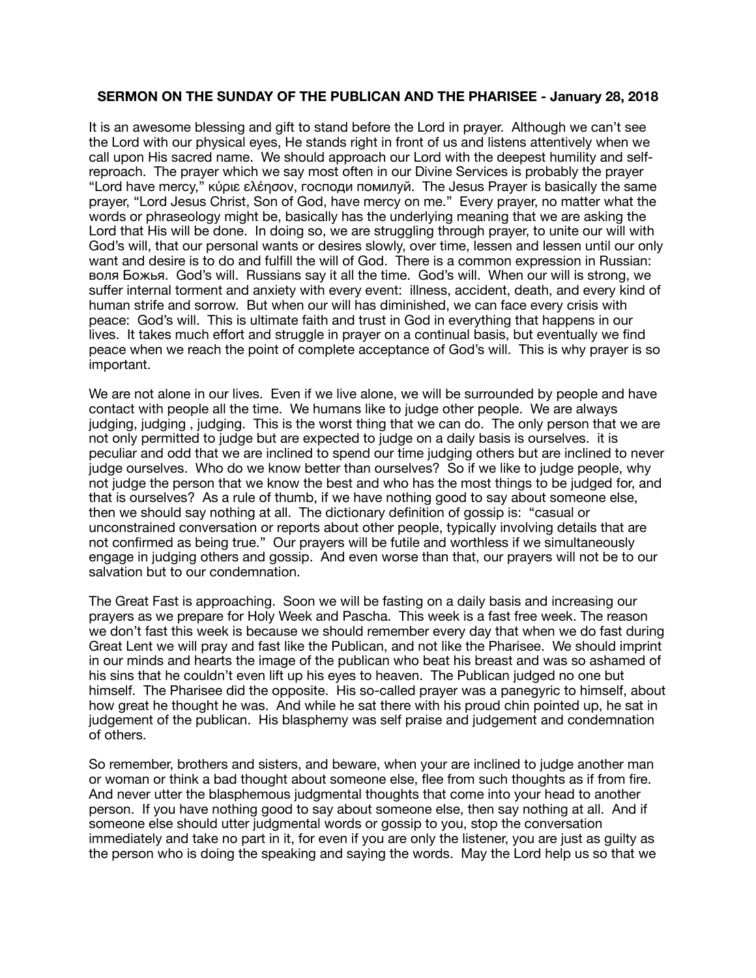## **SERMON ON THE SUNDAY OF THE PUBLICAN AND THE PHARISEE - January 28, 2018**

It is an awesome blessing and gift to stand before the Lord in prayer. Although we can't see the Lord with our physical eyes, He stands right in front of us and listens attentively when we call upon His sacred name. We should approach our Lord with the deepest humility and selfreproach. The prayer which we say most often in our Divine Services is probably the prayer "Lord have mercy," κύριε ελέησον, господи помилуй. The Jesus Prayer is basically the same prayer, "Lord Jesus Christ, Son of God, have mercy on me." Every prayer, no matter what the words or phraseology might be, basically has the underlying meaning that we are asking the Lord that His will be done. In doing so, we are struggling through prayer, to unite our will with God's will, that our personal wants or desires slowly, over time, lessen and lessen until our only want and desire is to do and fulfill the will of God. There is a common expression in Russian: воля Божья. God's will. Russians say it all the time. God's will. When our will is strong, we suffer internal torment and anxiety with every event: illness, accident, death, and every kind of human strife and sorrow. But when our will has diminished, we can face every crisis with peace: God's will. This is ultimate faith and trust in God in everything that happens in our lives. It takes much effort and struggle in prayer on a continual basis, but eventually we find peace when we reach the point of complete acceptance of God's will. This is why prayer is so important.

We are not alone in our lives. Even if we live alone, we will be surrounded by people and have contact with people all the time. We humans like to judge other people. We are always judging, judging , judging. This is the worst thing that we can do. The only person that we are not only permitted to judge but are expected to judge on a daily basis is ourselves. it is peculiar and odd that we are inclined to spend our time judging others but are inclined to never judge ourselves. Who do we know better than ourselves? So if we like to judge people, why not judge the person that we know the best and who has the most things to be judged for, and that is ourselves? As a rule of thumb, if we have nothing good to say about someone else, then we should say nothing at all. The dictionary definition of gossip is: "casual or unconstrained conversation or reports about other people, typically involving details that are not confirmed as being true." Our prayers will be futile and worthless if we simultaneously engage in judging others and gossip. And even worse than that, our prayers will not be to our salvation but to our condemnation.

The Great Fast is approaching. Soon we will be fasting on a daily basis and increasing our prayers as we prepare for Holy Week and Pascha. This week is a fast free week. The reason we don't fast this week is because we should remember every day that when we do fast during Great Lent we will pray and fast like the Publican, and not like the Pharisee. We should imprint in our minds and hearts the image of the publican who beat his breast and was so ashamed of his sins that he couldn't even lift up his eyes to heaven. The Publican judged no one but himself. The Pharisee did the opposite. His so-called prayer was a panegyric to himself, about how great he thought he was. And while he sat there with his proud chin pointed up, he sat in judgement of the publican. His blasphemy was self praise and judgement and condemnation of others.

So remember, brothers and sisters, and beware, when your are inclined to judge another man or woman or think a bad thought about someone else, flee from such thoughts as if from fire. And never utter the blasphemous judgmental thoughts that come into your head to another person. If you have nothing good to say about someone else, then say nothing at all. And if someone else should utter judgmental words or gossip to you, stop the conversation immediately and take no part in it, for even if you are only the listener, you are just as guilty as the person who is doing the speaking and saying the words. May the Lord help us so that we